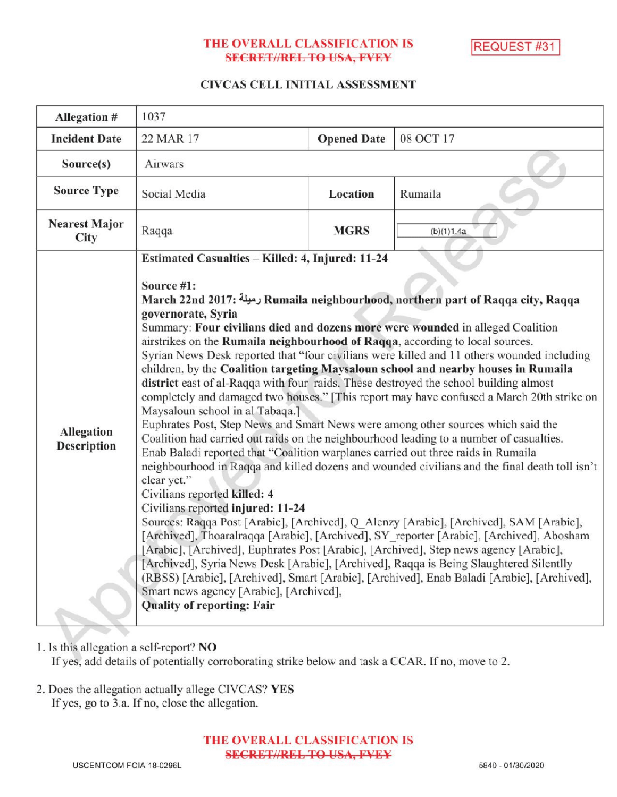# THE OVERALL CLASSIFICATION IS **SECRET//REL TO USA, FVEY**

REQUEST #31

#### CIVCAS CELL INITIAL ASSESSMENT

| Allegation #                        | 1037                                                                                                                                                                                                                                                                                                                                                                                                                                                                                                                                                                                                                                                                                                                                                                                                                                                                                                                                                                                                                                                                                                                                                                                                                                                                                                                                                                                                                                                                                                                                                                                                                                                                                                                                                                     |                    |            |
|-------------------------------------|--------------------------------------------------------------------------------------------------------------------------------------------------------------------------------------------------------------------------------------------------------------------------------------------------------------------------------------------------------------------------------------------------------------------------------------------------------------------------------------------------------------------------------------------------------------------------------------------------------------------------------------------------------------------------------------------------------------------------------------------------------------------------------------------------------------------------------------------------------------------------------------------------------------------------------------------------------------------------------------------------------------------------------------------------------------------------------------------------------------------------------------------------------------------------------------------------------------------------------------------------------------------------------------------------------------------------------------------------------------------------------------------------------------------------------------------------------------------------------------------------------------------------------------------------------------------------------------------------------------------------------------------------------------------------------------------------------------------------------------------------------------------------|--------------------|------------|
| <b>Incident Date</b>                | 22 MAR 17                                                                                                                                                                                                                                                                                                                                                                                                                                                                                                                                                                                                                                                                                                                                                                                                                                                                                                                                                                                                                                                                                                                                                                                                                                                                                                                                                                                                                                                                                                                                                                                                                                                                                                                                                                | <b>Opened Date</b> | 08 OCT 17  |
| Source(s)                           | Airwars                                                                                                                                                                                                                                                                                                                                                                                                                                                                                                                                                                                                                                                                                                                                                                                                                                                                                                                                                                                                                                                                                                                                                                                                                                                                                                                                                                                                                                                                                                                                                                                                                                                                                                                                                                  |                    |            |
| <b>Source Type</b>                  | Social Media                                                                                                                                                                                                                                                                                                                                                                                                                                                                                                                                                                                                                                                                                                                                                                                                                                                                                                                                                                                                                                                                                                                                                                                                                                                                                                                                                                                                                                                                                                                                                                                                                                                                                                                                                             | Location           | Rumaila    |
| <b>Nearest Major</b><br><b>City</b> | Raqqa                                                                                                                                                                                                                                                                                                                                                                                                                                                                                                                                                                                                                                                                                                                                                                                                                                                                                                                                                                                                                                                                                                                                                                                                                                                                                                                                                                                                                                                                                                                                                                                                                                                                                                                                                                    | <b>MGRS</b>        | (b)(1)1.4a |
| Allegation<br>Description           | Estimated Casualties - Killed: 4, Injured: 11-24<br>Source #1:<br>March 22nd 2017: رميلة Rumaila neighbourhood, northern part of Raqqa city, Raqqa<br>governorate, Syria<br>Summary: Four civilians died and dozens more were wounded in alleged Coalition<br>airstrikes on the Rumaila neighbourhood of Raqqa, according to local sources.<br>Syrian News Desk reported that "four civilians were killed and 11 others wounded including<br>children, by the Coalition targeting Maysaloun school and nearby houses in Rumaila<br>district east of al-Raqqa with four raids. These destroyed the school building almost<br>completely and damaged two houses." [This report may have confused a March 20th strike on<br>Maysaloun school in al Tabaqa.]<br>Euphrates Post, Step News and Smart News were among other sources which said the<br>Coalition had carried out raids on the neighbourhood leading to a number of casualties.<br>Enab Baladi reported that "Coalition warplanes carried out three raids in Rumaila<br>neighbourhood in Raqqa and killed dozens and wounded civilians and the final death toll isn't<br>clear yet."<br>Civilians reported killed: 4<br>Civilians reported injured: 11-24<br>Sources: Raqqa Post [Arabic], [Archived], Q Alenzy [Arabic], [Archived], SAM [Arabic],<br>[Archived], Thoaralraqqa [Arabic], [Archived], SY reporter [Arabic], [Archived], Abosham<br>[Arabic], [Archived], Euphrates Post [Arabic], [Archived], Step news agency [Arabic],<br>[Archived], Syria News Desk [Arabic], [Archived], Raqqa is Being Slaughtered Silentlly<br>(RBSS) [Arabic], [Archived], Smart [Arabic], [Archived], Enab Baladi [Arabic], [Archived],<br>Smart news agency [Arabic], [Archived],<br><b>Quality of reporting: Fair</b> |                    |            |

1. Is this allegation a self-report? NO

If yes, add details of potentially corroborating strike below and task a CCAR. If no, move to 2.

2. Does the allegation actually allege CIVCAS? YES If yes, go to 3.a. If no, close the allegation.

> THE OVERALL CLASSIFICATION IS **SECRET//REL TO USA, FVEY**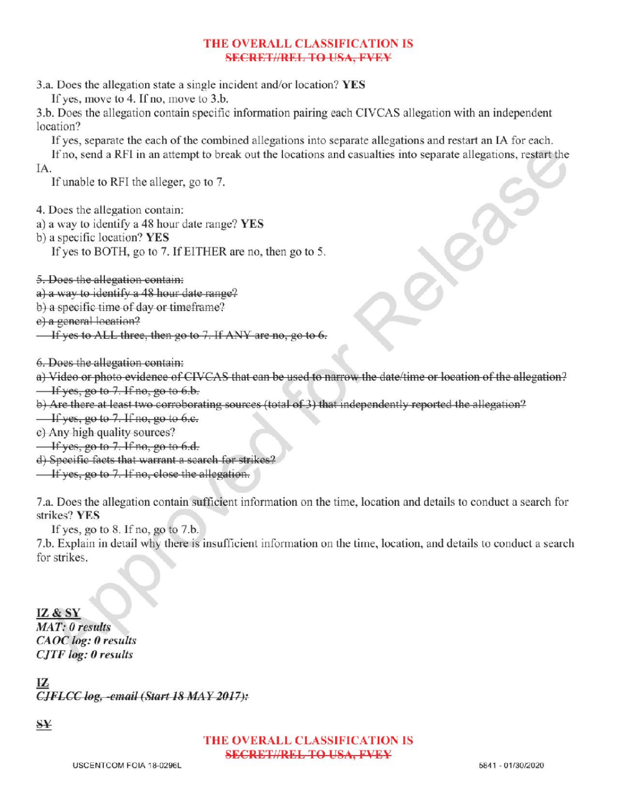# THE OVERALL CLASSIFICATION IS SECRETI/REL TO USA, FVEY

3.a. Does the allegation state <sup>a</sup> single incident and/or location? YES

If yes, move to 4. If no, move to  $3.b$ .

3.b. Does the allegation contain specific information pairing each CIVCAS allegation with an independent location?

Ifyes, separate the each of the combined allegations into separate allegations and restart an IA for each.

Ifno, send <sup>a</sup> RFI in an attempt to break out the locations and casualties into separate allegations , restart the

IA.

If unable to RFI the alleger, go to 7.

4. Does the allegation contain:

- a) a way to identify a 48 hour date range? YES
- b) a specific location? YES

If yes to BOTH, go to 7. If EITHER are no, then go to 5.

5. Does the allegation contain:

a) a way to identify a 48 hour date range?

b) a specific time of day or timeframe?

e) a general location?

 $\overline{\phantom{a}}$  If yes to ALL three, then go to 7. If ANY are no, go to 6.

6. Does the allegation contain:

- a) Video or photo evidence of CIVCAS that can be used to narrow the date/ time or location of the allegation?  $\frac{1}{1}$  If yes, go to 7. If no, go to 6.b.
- b) Are there at least two corroborating sources (total of 3) that independently reported the allegation?

 $\frac{1}{\sqrt{1 + 1}}$  yes, go to 7. If no, go to 6.c.

- c) Any high quality sources?
- $\frac{1}{1}$  If yes, go to 7. If no, go to 6.d.

d) Specific facts that warrant a search for strikes?

 $\frac{1}{1}$  if yes, go to 7. If no, close the allegation.

7.a. Does the allegation contain sufficient information on the time, locationand details to conduct a search for strikes? YES

If yes, go to  $8$ . If no, go to  $7.b$ .

7.b. Explain indetail why there is insufficient information on the time, location, and details to conduct <sup>a</sup> search a for strikes

IZ & SY<br>
MAT: 0 results<br>
CAOC log: 0 results<br>
CITE log: 0 results  $C A O C$  log:  $0$  results CJTF log: 0 results

 $CIFLCC log, -email (Start 18 MAX 2017):$ 

SY

# THE OVERALL CLASSIFICATION IS SECRET//REL TO USA, FVEY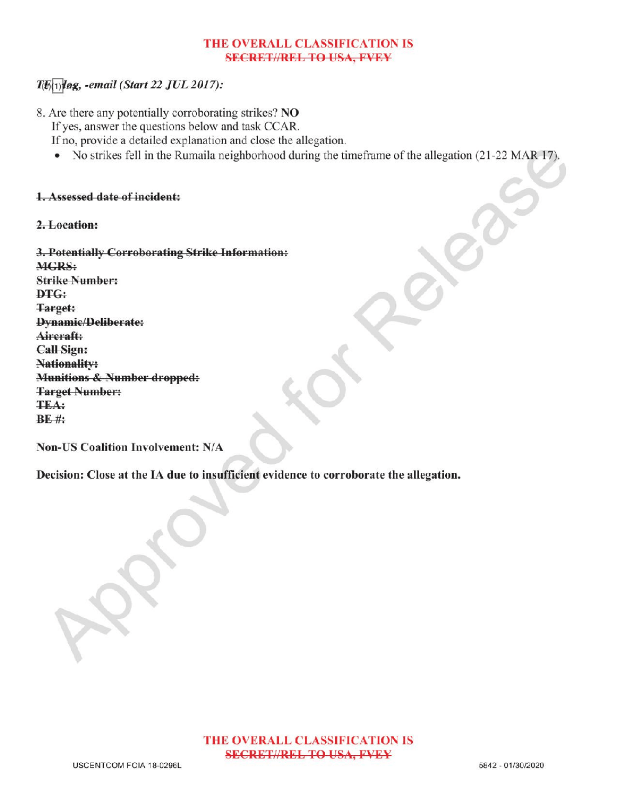### THE OVERALL CLASSIFICATION IS **SECRET//REL TO USA, FVEY**

# $T(E(1))$ log, -email (Start 22 JUL 2017):

- 8. Are there any potentially corroborating strikes? NO Ifyes, answer the questions below and task CCAR. If no, provide a detailed explanation and close the allegation.
	- $\bullet$  No strikes fell in the Rumaila neighborhood during the timeframe of the allegation (21-22 MAR 17).

#### 1.Assessed date of incident:

#### 2.Location:

| 3. Potentially Corroborating Strike Information: |  |
|--------------------------------------------------|--|
| <b>MGRS:</b>                                     |  |
| <b>Strike Number:</b>                            |  |
| DTG:                                             |  |
| <b>Target:</b>                                   |  |
| Dynamic/Deliberate:                              |  |
| Aircraft:                                        |  |
| <b>Call Sign:</b>                                |  |
| Nationality:                                     |  |
| <b>Munitions &amp; Number dropped:</b>           |  |
| <b>Target Number:</b>                            |  |
| <b>TEA:</b>                                      |  |
| <b>BE#:</b>                                      |  |

Non-US Coalition Involvement: N/A

Decision: Close at the IA due to insufficient evidence to corroborate the allegation.

Approved